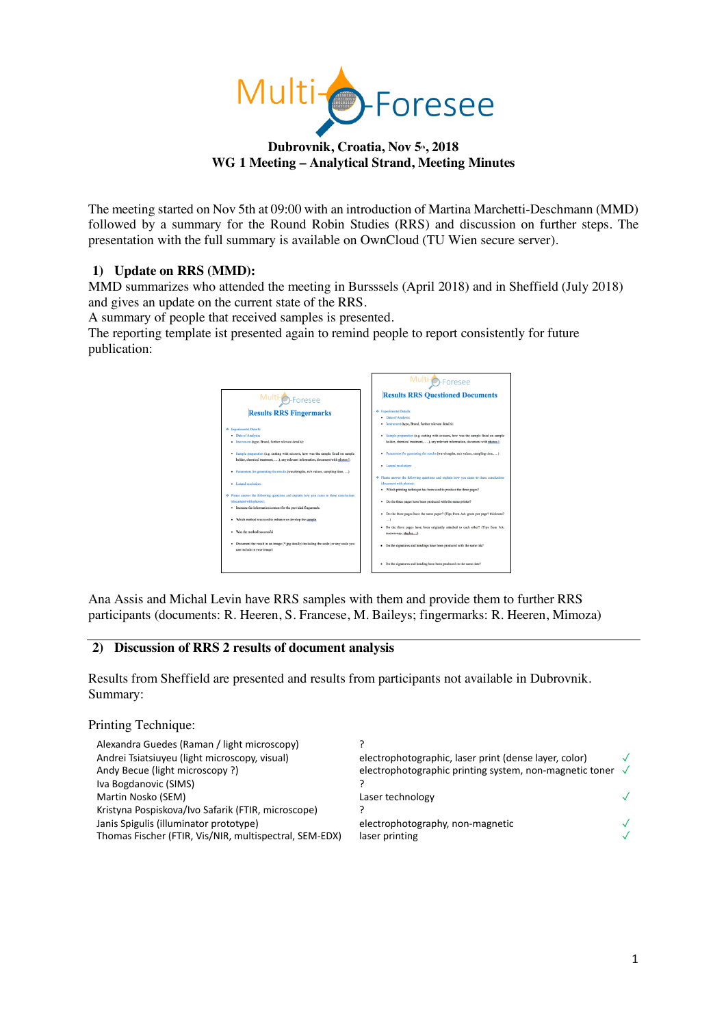

## Dubrovnik, Croatia, Nov 5<sup>th</sup>, 2018 **WG 1 Meeting – Analytical Strand, Meeting Minutes**

The meeting started on Nov 5th at 09:00 with an introduction of Martina Marchetti-Deschmann (MMD) followed by a summary for the Round Robin Studies (RRS) and discussion on further steps. The presentation with the full summary is available on OwnCloud (TU Wien secure server).

# **1) Update on RRS (MMD):**

MMD summarizes who attended the meeting in Bursssels (April 2018) and in Sheffield (July 2018) and gives an update on the current state of the RRS.

A summary of people that received samples is presented.

The reporting template ist presented again to remind people to report consistently for future publication:

|                                                                                                                       | Multi <sub>O</sub> -Foresee                                                                                    |
|-----------------------------------------------------------------------------------------------------------------------|----------------------------------------------------------------------------------------------------------------|
| Multi <sub>O</sub> -Foresee                                                                                           | <b>Results RRS Questioned Documents</b>                                                                        |
| <b>Results RRS Fingermarks</b>                                                                                        | <b>+</b> Experimental Details:<br>• Date of Analysis:<br>· Instrument (type, Brand, further relevant details): |
| <b>+</b> Experimental Details:                                                                                        |                                                                                                                |
| · Date of Analysis:                                                                                                   | · Sample preparation (e.g. cutting with scissors, how was the sample fixed on sample                           |
| · Instrument (type, Brand, further relevant details):                                                                 | holder, chemical treatment, ), any relevant information, document with photos                                  |
| · Sample preparation (e.g. cutting with scissors, how was the sample fixed on sample                                  | · Parameters for generating the results (wavelengths, m/z values, sampling time, )                             |
| holder, chemical treatment, ), any relevant information, document with photos !:                                      |                                                                                                                |
| · Parameters for generating the results (wavelengths, m/z values, sampling time, )                                    | · Lateral resolution:                                                                                          |
|                                                                                                                       | Tease answer the following questions and explain how you came to these conclusions                             |
| · Lateral resolutions                                                                                                 | (document with photos):                                                                                        |
|                                                                                                                       | · Which printing technique has been used to produce the three pages?                                           |
| Tease answer the following questions and explain how you came to these conclusions                                    |                                                                                                                |
| (document with photos):                                                                                               | Do the three pages have been produced with the same printer?<br>٠                                              |
| · Increase the information content for the provided fingermark                                                        |                                                                                                                |
|                                                                                                                       | · Do the three pages have the same paper? (Tips from AA: gram per page? thickness?                             |
| · Which method was used to enhance or develop the sample.                                                             | $\ldots$                                                                                                       |
| · Was the method successful                                                                                           | · Do the three pages have been originally attached to each other? (Tips from AA:<br>microscopy, staples,)      |
| · Document the result in an image (*.jpg ideally) including the scale (or any scale you<br>can include in your image) | · Do the signatures and headings have been produced with the same ink?                                         |
|                                                                                                                       | · Do the signatures and heading have been produced on the same date?                                           |

Ana Assis and Michal Levin have RRS samples with them and provide them to further RRS participants (documents: R. Heeren, S. Francese, M. Baileys; fingermarks: R. Heeren, Mimoza)

# **2) Discussion of RRS 2 results of document analysis**

Results from Sheffield are presented and results from participants not available in Dubrovnik. Summary:

| Printing Technique:                                                                                                                                    |                                                                               |  |
|--------------------------------------------------------------------------------------------------------------------------------------------------------|-------------------------------------------------------------------------------|--|
| Alexandra Guedes (Raman / light microscopy)<br>Andrei Tsiatsiuyeu (light microscopy, visual)                                                           | electrophotographic, laser print (dense layer, color)                         |  |
| Andy Becue (light microscopy?)<br>Iva Bogdanovic (SIMS)<br>Martin Nosko (SEM)                                                                          | electrophotographic printing system, non-magnetic toner √<br>Laser technology |  |
| Kristyna Pospiskova/Ivo Safarik (FTIR, microscope)<br>Janis Spigulis (illuminator prototype)<br>Thomas Fischer (FTIR, Vis/NIR, multispectral, SEM-EDX) | electrophotography, non-magnetic<br>laser printing                            |  |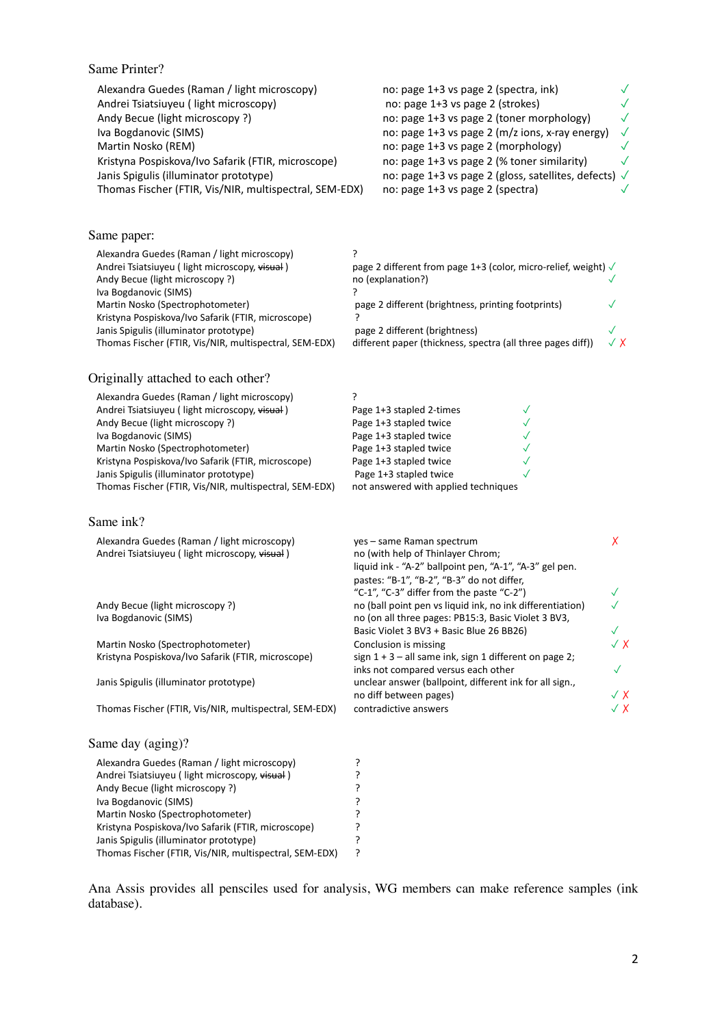# Same Printer?

| Alexandra Guedes (Raman / light microscopy)            | no: page 1+3 vs page 2 (spectra, ink)                 |           |
|--------------------------------------------------------|-------------------------------------------------------|-----------|
| Andrei Tsiatsiuyeu (light microscopy)                  | no: page 1+3 vs page 2 (strokes)                      |           |
| Andy Becue (light microscopy?)                         | no: page 1+3 vs page 2 (toner morphology)             | $\sqrt{}$ |
| Iva Bogdanovic (SIMS)                                  | no: page 1+3 vs page 2 (m/z ions, x-ray energy)       | $\sqrt{}$ |
| Martin Nosko (REM)                                     | no: page 1+3 vs page 2 (morphology)                   |           |
| Kristyna Pospiskova/Ivo Safarik (FTIR, microscope)     | no: page 1+3 vs page 2 (% toner similarity)           | $\sqrt{}$ |
| Janis Spigulis (illuminator prototype)                 | no: page 1+3 vs page 2 (gloss, satellites, defects) √ |           |
| Thomas Fischer (FTIR, Vis/NIR, multispectral, SEM-EDX) | no: page 1+3 vs page 2 (spectra)                      |           |

## Same paper:

| Alexandra Guedes (Raman / light microscopy)                                                      |                                                                                              |            |
|--------------------------------------------------------------------------------------------------|----------------------------------------------------------------------------------------------|------------|
| Andrei Tsiatsiuyeu (light microscopy, visual)<br>Andy Becue (light microscopy?)                  | page 2 different from page 1+3 (color, micro-relief, weight) $\sqrt$<br>no (explanation?)    |            |
| Iva Bogdanovic (SIMS)                                                                            |                                                                                              |            |
| Martin Nosko (Spectrophotometer)                                                                 | page 2 different (brightness, printing footprints)                                           |            |
| Kristyna Pospiskova/Ivo Safarik (FTIR, microscope)                                               |                                                                                              |            |
| Janis Spigulis (illuminator prototype)<br>Thomas Fischer (FTIR, Vis/NIR, multispectral, SEM-EDX) | page 2 different (brightness)<br>different paper (thickness, spectra (all three pages diff)) | $\sqrt{X}$ |

#### Originally attached to each other?

Kristyna Pospiskova/Ivo Safarik (FTIR, microscope)<br>Janis Spigulis (illuminator prototype) ? Janis Spigulis (illuminator prototype)<br>Thomas Fischer (FTIR, Vis/NIR, multispectral, SEM-EDX) ? Thomas Fischer (FTIR, Vis/NIR, multispectral, SEM-EDX) ?

| Alexandra Guedes (Raman / light microscopy)            |                                      |  |
|--------------------------------------------------------|--------------------------------------|--|
| Andrei Tsiatsiuyeu (light microscopy, visual)          | Page 1+3 stapled 2-times             |  |
| Andy Becue (light microscopy?)                         | Page 1+3 stapled twice               |  |
| Iva Bogdanovic (SIMS)                                  | Page 1+3 stapled twice               |  |
| Martin Nosko (Spectrophotometer)                       | Page 1+3 stapled twice               |  |
| Kristyna Pospiskova/Ivo Safarik (FTIR, microscope)     | Page 1+3 stapled twice               |  |
| Janis Spigulis (illuminator prototype)                 | Page 1+3 stapled twice               |  |
| Thomas Fischer (FTIR, Vis/NIR, multispectral, SEM-EDX) | not answered with applied techniques |  |

#### Same ink?

| Alexandra Guedes (Raman / light microscopy)            | yes - same Raman spectrum                                                                    | X              |
|--------------------------------------------------------|----------------------------------------------------------------------------------------------|----------------|
| Andrei Tsiatsiuyeu (light microscopy, visual)          | no (with help of Thinlayer Chrom;<br>liquid ink - "A-2" ballpoint pen, "A-1", "A-3" gel pen. |                |
|                                                        | pastes: "B-1", "B-2", "B-3" do not differ,                                                   |                |
|                                                        | "C-1", "C-3" differ from the paste "C-2")                                                    |                |
| Andy Becue (light microscopy?)                         | no (ball point pen vs liquid ink, no ink differentiation)                                    |                |
| Iva Bogdanovic (SIMS)                                  | no (on all three pages: PB15:3, Basic Violet 3 BV3,                                          |                |
|                                                        | Basic Violet 3 BV3 + Basic Blue 26 BB26)                                                     | $\checkmark$   |
| Martin Nosko (Spectrophotometer)                       | Conclusion is missing                                                                        | $\checkmark$ X |
| Kristyna Pospiskova/Ivo Safarik (FTIR, microscope)     | sign $1 + 3 -$ all same ink, sign 1 different on page 2;                                     |                |
|                                                        | inks not compared versus each other                                                          | $\checkmark$   |
| Janis Spigulis (illuminator prototype)                 | unclear answer (ballpoint, different ink for all sign.,                                      |                |
|                                                        | no diff between pages)                                                                       | $\checkmark$ X |
| Thomas Fischer (FTIR, Vis/NIR, multispectral, SEM-EDX) | contradictive answers                                                                        | √ X            |
| Same day (aging)?                                      |                                                                                              |                |
| Alexandra Guedes (Raman / light microscopy)            |                                                                                              |                |
| Andrei Tsiatsiuyeu (light microscopy, visual)          |                                                                                              |                |
| Andy Becue (light microscopy?)                         |                                                                                              |                |
| Iva Bogdanovic (SIMS)                                  |                                                                                              |                |
| Martin Nosko (Spectrophotometer)                       |                                                                                              |                |
| Kristyna Pospiskova/Ivo Safarik (FTIR, microscope)     |                                                                                              |                |

Ana Assis provides all pensciles used for analysis, WG members can make reference samples (ink database).